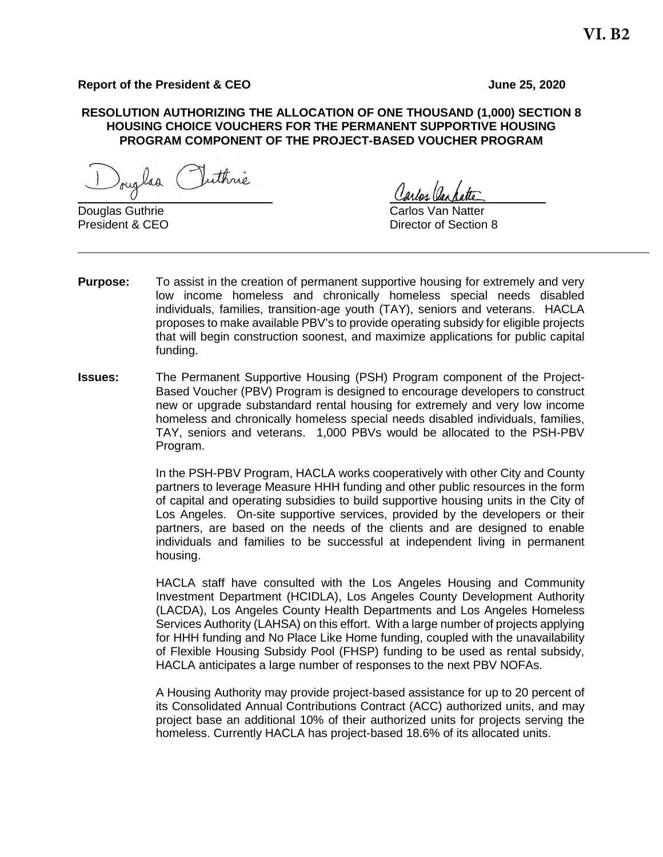# **Report of the President & CEO June 25, 2020**

#### **RESOLUTION AUTHORIZING THE ALLOCATION OF ONE THOUSAND (1,000) SECTION 8 HOUSING CHOICE VOUCHERS FOR THE PERMANENT SUPPORTIVE HOUSING PROGRAM COMPONENT OF THE PROJECT-BASED VOUCHER PROGRAM**

ouglas Puthrie

**Douglas Guthrie Carlos Van Natter Carlos Van Natter** 

Carlos Cas

President & CEO **Director of Section 8** 

- **Purpose:** To assist in the creation of permanent supportive housing for extremely and very low income homeless and chronically homeless special needs disabled individuals, families, transition-age youth (TAY), seniors and veterans. HACLA proposes to make available PBV's to provide operating subsidy for eligible projects that will begin construction soonest, and maximize applications for public capital funding.
- **Issues:** The Permanent Supportive Housing (PSH) Program component of the Project-Based Voucher (PBV) Program is designed to encourage developers to construct new or upgrade substandard rental housing for extremely and very low income homeless and chronically homeless special needs disabled individuals, families, TAY, seniors and veterans. 1,000 PBVs would be allocated to the PSH-PBV Program.

In the PSH-PBV Program, HACLA works cooperatively with other City and County partners to leverage Measure HHH funding and other public resources in the form of capital and operating subsidies to build supportive housing units in the City of Los Angeles. On-site supportive services, provided by the developers or their partners, are based on the needs of the clients and are designed to enable individuals and families to be successful at independent living in permanent housing.

HACLA staff have consulted with the Los Angeles Housing and Community Investment Department (HCIDLA), Los Angeles County Development Authority (LACDA), Los Angeles County Health Departments and Los Angeles Homeless Services Authority (LAHSA) on this effort. With a large number of projects applying for HHH funding and No Place Like Home funding, coupled with the unavailability of Flexible Housing Subsidy Pool (FHSP) funding to be used as rental subsidy, HACLA anticipates a large number of responses to the next PBV NOFAs.

A Housing Authority may provide project-based assistance for up to 20 percent of its Consolidated Annual Contributions Contract (ACC) authorized units, and may project base an additional 10% of their authorized units for projects serving the homeless. Currently HACLA has project-based 18.6% of its allocated units.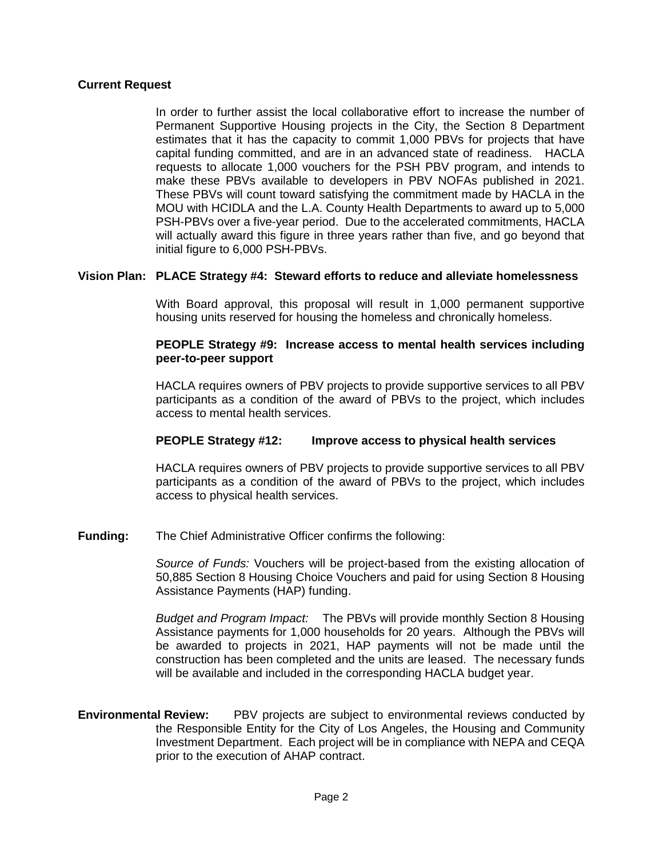### **Current Request**

In order to further assist the local collaborative effort to increase the number of Permanent Supportive Housing projects in the City, the Section 8 Department estimates that it has the capacity to commit 1,000 PBVs for projects that have capital funding committed, and are in an advanced state of readiness. HACLA requests to allocate 1,000 vouchers for the PSH PBV program, and intends to make these PBVs available to developers in PBV NOFAs published in 2021. These PBVs will count toward satisfying the commitment made by HACLA in the MOU with HCIDLA and the L.A. County Health Departments to award up to 5,000 PSH-PBVs over a five-year period. Due to the accelerated commitments, HACLA will actually award this figure in three years rather than five, and go beyond that initial figure to 6,000 PSH-PBVs.

### **Vision Plan: PLACE Strategy #4: Steward efforts to reduce and alleviate homelessness**

With Board approval, this proposal will result in 1,000 permanent supportive housing units reserved for housing the homeless and chronically homeless.

#### **PEOPLE Strategy #9: Increase access to mental health services including peer-to-peer support**

HACLA requires owners of PBV projects to provide supportive services to all PBV participants as a condition of the award of PBVs to the project, which includes access to mental health services.

# **PEOPLE Strategy #12: Improve access to physical health services**

HACLA requires owners of PBV projects to provide supportive services to all PBV participants as a condition of the award of PBVs to the project, which includes access to physical health services.

**Funding:** The Chief Administrative Officer confirms the following:

*Source of Funds:* Vouchers will be project-based from the existing allocation of 50,885 Section 8 Housing Choice Vouchers and paid for using Section 8 Housing Assistance Payments (HAP) funding.

*Budget and Program Impact:* The PBVs will provide monthly Section 8 Housing Assistance payments for 1,000 households for 20 years. Although the PBVs will be awarded to projects in 2021, HAP payments will not be made until the construction has been completed and the units are leased. The necessary funds will be available and included in the corresponding HACLA budget year.

**Environmental Review:** PBV projects are subject to environmental reviews conducted by the Responsible Entity for the City of Los Angeles, the Housing and Community Investment Department. Each project will be in compliance with NEPA and CEQA prior to the execution of AHAP contract.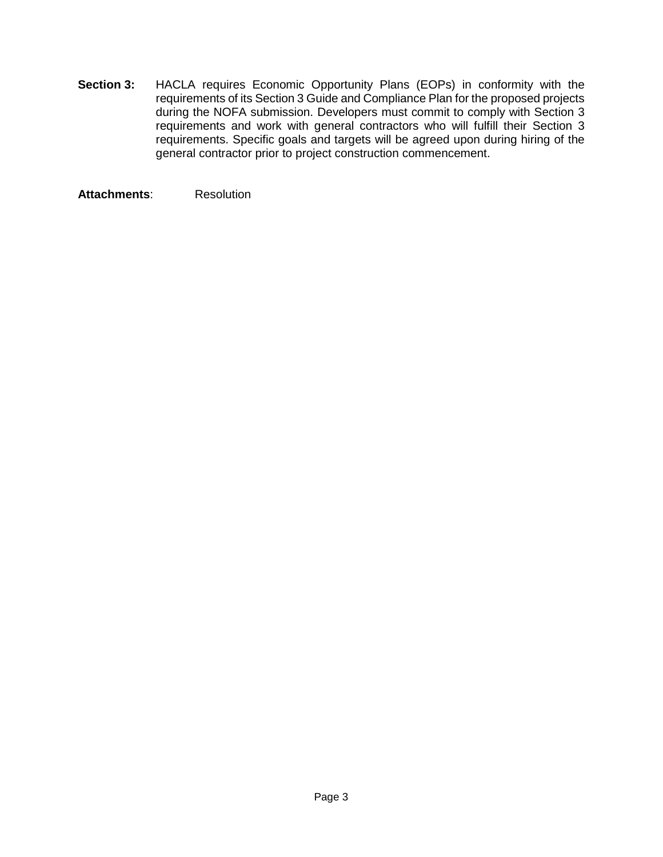**Section 3:** HACLA requires Economic Opportunity Plans (EOPs) in conformity with the requirements of its Section 3 Guide and Compliance Plan for the proposed projects during the NOFA submission. Developers must commit to comply with Section 3 requirements and work with general contractors who will fulfill their Section 3 requirements. Specific goals and targets will be agreed upon during hiring of the general contractor prior to project construction commencement.

**Attachments**: Resolution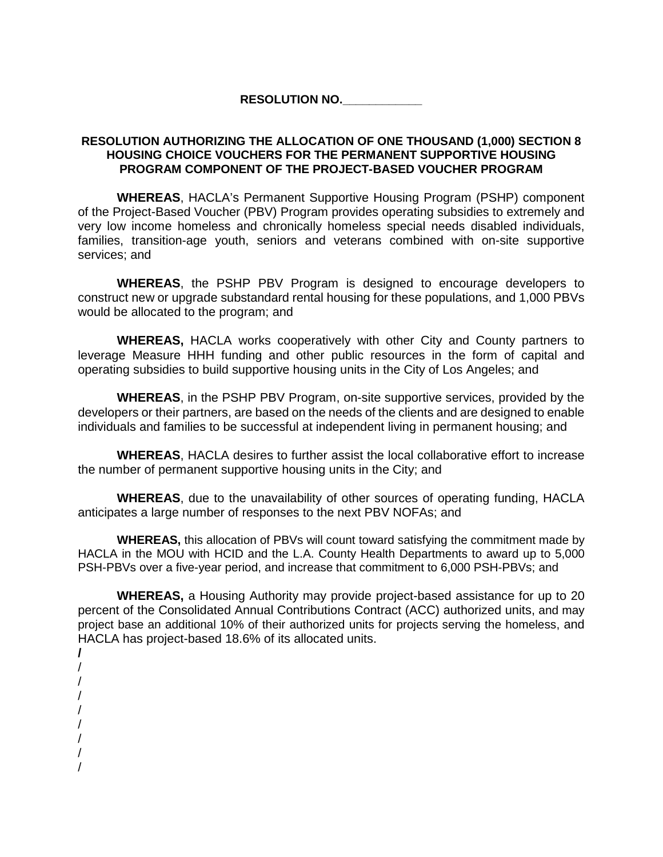## **RESOLUTION NO.\_\_\_\_\_\_\_\_\_\_\_\_**

## **RESOLUTION AUTHORIZING THE ALLOCATION OF ONE THOUSAND (1,000) SECTION 8 HOUSING CHOICE VOUCHERS FOR THE PERMANENT SUPPORTIVE HOUSING PROGRAM COMPONENT OF THE PROJECT-BASED VOUCHER PROGRAM**

**WHEREAS**, HACLA's Permanent Supportive Housing Program (PSHP) component of the Project-Based Voucher (PBV) Program provides operating subsidies to extremely and very low income homeless and chronically homeless special needs disabled individuals, families, transition-age youth, seniors and veterans combined with on-site supportive services; and

**WHEREAS**, the PSHP PBV Program is designed to encourage developers to construct new or upgrade substandard rental housing for these populations, and 1,000 PBVs would be allocated to the program; and

**WHEREAS,** HACLA works cooperatively with other City and County partners to leverage Measure HHH funding and other public resources in the form of capital and operating subsidies to build supportive housing units in the City of Los Angeles; and

**WHEREAS**, in the PSHP PBV Program, on-site supportive services, provided by the developers or their partners, are based on the needs of the clients and are designed to enable individuals and families to be successful at independent living in permanent housing; and

**WHEREAS**, HACLA desires to further assist the local collaborative effort to increase the number of permanent supportive housing units in the City; and

**WHEREAS**, due to the unavailability of other sources of operating funding, HACLA anticipates a large number of responses to the next PBV NOFAs; and

**WHEREAS,** this allocation of PBVs will count toward satisfying the commitment made by HACLA in the MOU with HCID and the L.A. County Health Departments to award up to 5,000 PSH-PBVs over a five-year period, and increase that commitment to 6,000 PSH-PBVs; and

**WHEREAS,** a Housing Authority may provide project-based assistance for up to 20 percent of the Consolidated Annual Contributions Contract (ACC) authorized units, and may project base an additional 10% of their authorized units for projects serving the homeless, and HACLA has project-based 18.6% of its allocated units.

- **/** / / / /
- 
- /
- / /
- /